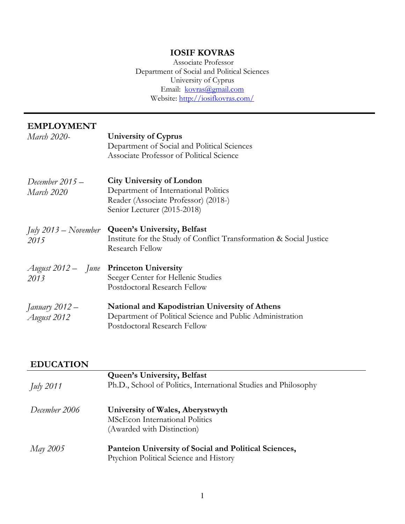# **IOSIF KOVRAS**

Associate Professor Department of Social and Political Sciences University of Cyprus Email: <u>kovras@gmail.com</u> Website: http://iosifkovras.com/

| <b>EMPLOYMENT</b><br>March 2020-    | <b>University of Cyprus</b><br>Department of Social and Political Sciences<br>Associate Professor of Political Science                             |
|-------------------------------------|----------------------------------------------------------------------------------------------------------------------------------------------------|
| December $2015 -$<br>March 2020     | <b>City University of London</b><br>Department of International Politics<br>Reader (Associate Professor) (2018-)<br>Senior Lecturer (2015-2018)    |
| <i>July</i> 2013 – November<br>2015 | <b>Queen's University, Belfast</b><br>Institute for the Study of Conflict Transformation & Social Justice<br><b>Research Fellow</b>                |
| August 2012 – June<br>2013          | <b>Princeton University</b><br>Seeger Center for Hellenic Studies<br>Postdoctoral Research Fellow                                                  |
| January 2012 –<br>August 2012       | <b>National and Kapodistrian University of Athens</b><br>Department of Political Science and Public Administration<br>Postdoctoral Research Fellow |

# **EDUCATION**

| July 2011     | <b>Queen's University, Belfast</b><br>Ph.D., School of Politics, International Studies and Philosophy   |
|---------------|---------------------------------------------------------------------------------------------------------|
| December 2006 | University of Wales, Aberystwyth<br><b>MScEcon International Politics</b><br>(Awarded with Distinction) |
| May 2005      | Panteion University of Social and Political Sciences,<br>Ptychion Political Science and History         |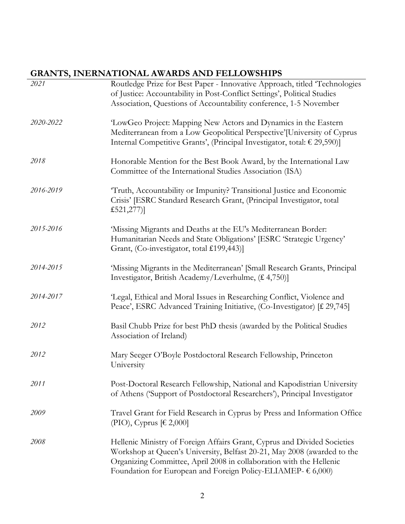# **GRANTS, INERNATIONAL AWARDS AND FELLOWSHIPS**

| 2021      | Routledge Prize for Best Paper - Innovative Approach, titled 'Technologies<br>of Justice: Accountability in Post-Conflict Settings', Political Studies<br>Association, Questions of Accountability conference, 1-5 November                                                                         |
|-----------|-----------------------------------------------------------------------------------------------------------------------------------------------------------------------------------------------------------------------------------------------------------------------------------------------------|
| 2020-2022 | LowGeo Project: Mapping New Actors and Dynamics in the Eastern<br>Mediterranean from a Low Geopolitical Perspective' [University of Cyprus<br>Internal Competitive Grants', (Principal Investigator, total: € 29,590)]                                                                              |
| 2018      | Honorable Mention for the Best Book Award, by the International Law<br>Committee of the International Studies Association (ISA)                                                                                                                                                                     |
| 2016-2019 | Truth, Accountability or Impunity? Transitional Justice and Economic<br>Crisis' [ESRC Standard Research Grant, (Principal Investigator, total<br>£521,277)]                                                                                                                                         |
| 2015-2016 | 'Missing Migrants and Deaths at the EU's Mediterranean Border:<br>Humanitarian Needs and State Obligations' [ESRC 'Strategic Urgency'<br>Grant, (Co-investigator, total £199,443)]                                                                                                                  |
| 2014-2015 | 'Missing Migrants in the Mediterranean' [Small Research Grants, Principal<br>Investigator, British Academy/Leverhulme, (£ 4,750)]                                                                                                                                                                   |
| 2014-2017 | 'Legal, Ethical and Moral Issues in Researching Conflict, Violence and<br>Peace', ESRC Advanced Training Initiative, (Co-Investigator) [£ 29,745]                                                                                                                                                   |
| 2012      | Basil Chubb Prize for best PhD thesis (awarded by the Political Studies<br>Association of Ireland)                                                                                                                                                                                                  |
| 2012      | Mary Seeger O'Boyle Postdoctoral Research Fellowship, Princeton<br>University                                                                                                                                                                                                                       |
| 2011      | Post-Doctoral Research Fellowship, National and Kapodistrian University<br>of Athens ('Support of Postdoctoral Researchers'), Principal Investigator                                                                                                                                                |
| 2009      | Travel Grant for Field Research in Cyprus by Press and Information Office<br>(PIO), Cyprus [ $\in$ 2,000]                                                                                                                                                                                           |
| 2008      | Hellenic Ministry of Foreign Affairs Grant, Cyprus and Divided Societies<br>Workshop at Queen's University, Belfast 20-21, May 2008 (awarded to the<br>Organizing Committee, April 2008 in collaboration with the Hellenic<br>Foundation for European and Foreign Policy-ELIAMEP- $\epsilon$ 6,000) |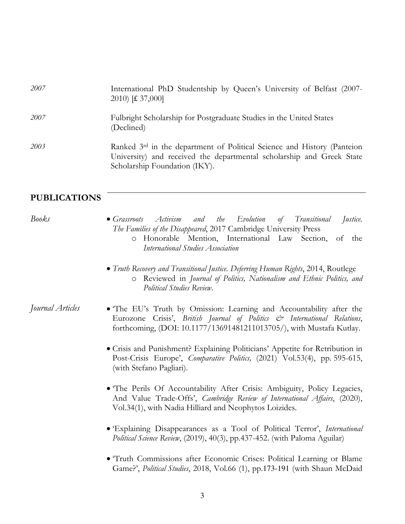| 2007 | International PhD Studentship by Queen's University of Belfast (2007-<br>2010) [£ 37,000]                                                                                                     |
|------|-----------------------------------------------------------------------------------------------------------------------------------------------------------------------------------------------|
| 2007 | Fulbright Scholarship for Postgraduate Studies in the United States<br>(Declined)                                                                                                             |
| 2003 | Ranked 3 <sup>rd</sup> in the department of Political Science and History (Panteion<br>University) and received the departmental scholarship and Greek State<br>Scholarship Foundation (IKY). |

# **PUBLICATIONS**

| <b>Books</b>     | Activism<br>and the Evolution of Transitional<br>$\bullet$ Grassroots<br>Justice.<br>The Families of the Disappeared, 2017 Cambridge University Press<br>o Honorable Mention, International Law Section, of the<br><b>International Studies Association</b> |
|------------------|-------------------------------------------------------------------------------------------------------------------------------------------------------------------------------------------------------------------------------------------------------------|
|                  | • Truth Recovery and Transitional Justice. Deferring Human Rights, 2014, Routlege<br>O Reviewed in Journal of Politics, Nationalism and Ethnic Politics, and<br>Political Studies Review.                                                                   |
| Journal Articles | . The EU's Truth by Omission: Learning and Accountability after the<br>Eurozone Crisis', British Journal of Politics & International Relations,<br>forthcoming, (DOI: 10.1177/13691481211013705/), with Mustafa Kutlay.                                     |
|                  | • Crisis and Punishment? Explaining Politicians' Appetite for Retribution in<br>Post-Crisis Europe', <i>Comparative Politics</i> , (2021) Vol.53(4), pp. 595-615,<br>(with Stefano Pagliari).                                                               |
|                  | • The Perils Of Accountability After Crisis: Ambiguity, Policy Legacies,<br>And Value Trade-Offs', Cambridge Review of International Affairs, (2020),<br>Vol.34(1), with Nadia Hilliard and Neophytos Loizides.                                             |
|                  | • Explaining Disappearances as a Tool of Political Terror', International<br>Political Science Review, (2019), 40(3), pp.437-452. (with Paloma Aguilar)                                                                                                     |
|                  | • Truth Commissions after Economic Crises: Political Learning or Blame<br>Game?', Political Studies, 2018, Vol.66 (1), pp.173-191 (with Shaun McDaid                                                                                                        |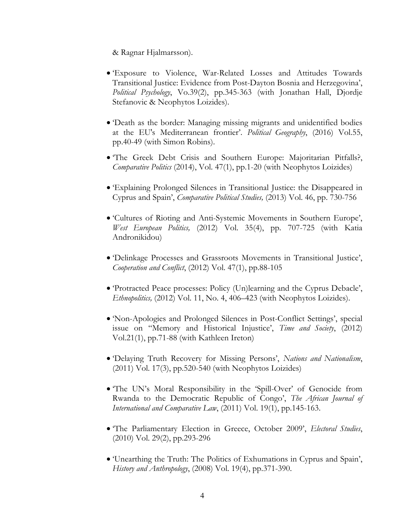& Ragnar Hjalmarsson).

- 'Exposure to Violence, War-Related Losses and Attitudes Towards Transitional Justice: Evidence from Post-Dayton Bosnia and Herzegovina', *Political Psychology*, Vo.39(2), pp.345-363 (with Jonathan Hall, Djordje Stefanovic & Neophytos Loizides).
- 'Death as the border: Managing missing migrants and unidentified bodies at the EU's Mediterranean frontier'. *Political Geography*, (2016) Vol.55, pp.40-49 (with Simon Robins).
- 'The Greek Debt Crisis and Southern Europe: Majoritarian Pitfalls?, *Comparative Politics* (2014), Vol. 47(1), pp.1-20 (with Neophytos Loizides)
- 'Explaining Prolonged Silences in Transitional Justice: the Disappeared in Cyprus and Spain', *Comparative Political Studies,* (2013) Vol. 46, pp. 730-756
- 'Cultures of Rioting and Anti-Systemic Movements in Southern Europe', *West European Politics,* (2012) Vol. 35(4), pp. 707-725 (with Katia Andronikidou)
- 'Delinkage Processes and Grassroots Movements in Transitional Justice', *Cooperation and Conflict*, (2012) Vol. 47(1), pp.88-105
- 'Protracted Peace processes: Policy (Un)learning and the Cyprus Debacle', *Ethnopolitics,* (2012) Vol. 11, No. 4, 406–423 (with Neophytos Loizides).
- 'Non-Apologies and Prolonged Silences in Post-Conflict Settings', special issue on "Memory and Historical Injustice', *Time and Society*, (2012) Vol.21(1), pp.71-88 (with Kathleen Ireton)
- 'Delaying Truth Recovery for Missing Persons', *Nations and Nationalism*, (2011) Vol. 17(3), pp.520-540 (with Neophytos Loizides)
- 'The UN's Moral Responsibility in the 'Spill-Over' of Genocide from Rwanda to the Democratic Republic of Congo', *The African Journal of International and Comparative Law*, (2011) Vol. 19(1), pp.145-163.
- 'The Parliamentary Election in Greece, October 2009', *Electoral Studies*, (2010) Vol. 29(2), pp.293-296
- 'Unearthing the Truth: The Politics of Exhumations in Cyprus and Spain', *History and Anthropology*, (2008) Vol. 19(4), pp.371-390.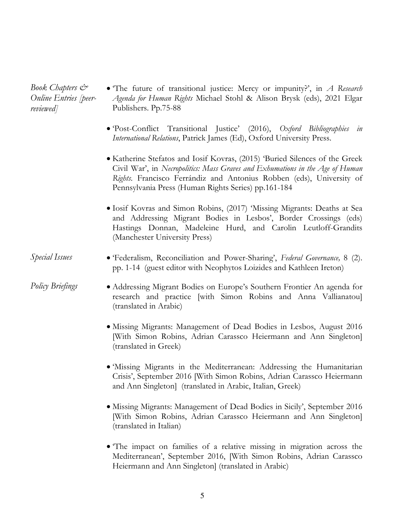*Book Chapters & Online Entries [peerreviewed]*

- 'The future of transitional justice: Mercy or impunity?', in *A Research Agenda for Human Rights* Michael Stohl & Alison Brysk (eds), 2021 Elgar Publishers. Pp.75-88
- 'Post-Conflict Transitional Justice' (2016), *Oxford Bibliographies in International Relations*, Patrick James (Ed), Oxford University Press.
- Katherine Stefatos and Iosif Kovras, (2015) 'Buried Silences of the Greek Civil War', in *Necropolitics: Mass Graves and Exhumations in the Age of Human Rights*. Francisco Ferrándiz and Antonius Robben (eds), University of Pennsylvania Press (Human Rights Series) pp.161-184
- Iosif Kovras and Simon Robins, (2017) 'Missing Migrants: Deaths at Sea and Addressing Migrant Bodies in Lesbos', Border Crossings (eds) Hastings Donnan, Madeleine Hurd, and Carolin Leutloff-Grandits (Manchester University Press)
- *Special Issues* 'Federalism, Reconciliation and Power-Sharing', *Federal Governance,* 8 (2). pp. 1-14 (guest editor with Neophytos Loizides and Kathleen Ireton)
- *Policy Briefings* Addressing Migrant Bodies on Europe's Southern Frontier An agenda for research and practice [with Simon Robins and Anna Vallianatou] (translated in Arabic)
	- Missing Migrants: Management of Dead Bodies in Lesbos, August 2016 [With Simon Robins, Adrian Carassco Heiermann and Ann Singleton] (translated in Greek)
	- 'Missing Migrants in the Mediterranean: Addressing the Humanitarian Crisis', September 2016 [With Simon Robins, Adrian Carassco Heiermann and Ann Singleton] (translated in Arabic, Italian, Greek)
	- Missing Migrants: Management of Dead Bodies in Sicily', September 2016 [With Simon Robins, Adrian Carassco Heiermann and Ann Singleton] (translated in Italian)
	- 'The impact on families of a relative missing in migration across the Mediterranean', September 2016, [With Simon Robins, Adrian Carassco Heiermann and Ann Singleton] (translated in Arabic)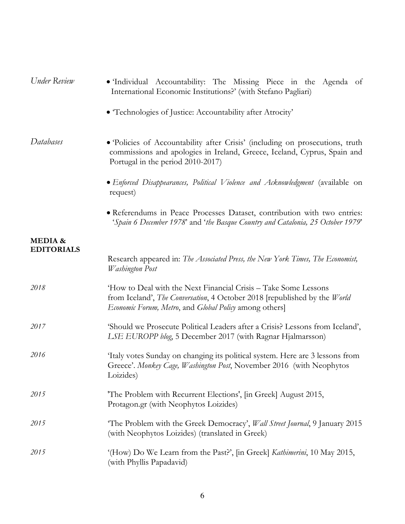| <b>Under Review</b>                     | • Individual Accountability: The Missing Piece in the Agenda of<br>International Economic Institutions?' (with Stefano Pagliari)                                                                                            |
|-----------------------------------------|-----------------------------------------------------------------------------------------------------------------------------------------------------------------------------------------------------------------------------|
|                                         | • Technologies of Justice: Accountability after Atrocity'                                                                                                                                                                   |
| Databases                               | • Policies of Accountability after Crisis' (including on prosecutions, truth<br>commissions and apologies in Ireland, Greece, Iceland, Cyprus, Spain and<br>Portugal in the period 2010-2017)                               |
|                                         | $\bullet$ Enforced Disappearances, Political Violence and Acknowledgment (available on<br>request)                                                                                                                          |
|                                         | • Referendums in Peace Processes Dataset, contribution with two entries:<br>'Spain 6 December 1978' and 'the Basque Country and Catalonia, 25 October 1979'                                                                 |
| <b>MEDIA &amp;</b><br><b>EDITORIALS</b> |                                                                                                                                                                                                                             |
|                                         | Research appeared in: The Associated Press, the New York Times, The Economist,<br>Washington Post                                                                                                                           |
| 2018                                    | 'How to Deal with the Next Financial Crisis – Take Some Lessons<br>from Iceland', <i>The Conversation</i> , 4 October 2018 [republished by the <i>World</i><br><i>Economic Forum, Metro, and Global Policy among others</i> |
| 2017                                    | 'Should we Prosecute Political Leaders after a Crisis? Lessons from Iceland',<br>LSE EUROPP blog, 5 December 2017 (with Ragnar Hjalmarsson)                                                                                 |
| 2016                                    | 'Italy votes Sunday on changing its political system. Here are 3 lessons from<br>Greece'. Monkey Cage, Washington Post, November 2016 (with Neophytos<br>Loizides)                                                          |
| 2015                                    | 'The Problem with Recurrent Elections', [in Greek] August 2015,<br>Protagon.gr (with Neophytos Loizides)                                                                                                                    |
| 2015                                    | The Problem with the Greek Democracy', Wall Street Journal, 9 January 2015<br>(with Neophytos Loizides) (translated in Greek)                                                                                               |
| 2015                                    | '(How) Do We Learn from the Past?', [in Greek] <i>Kathimerini</i> , 10 May 2015,<br>(with Phyllis Papadavid)                                                                                                                |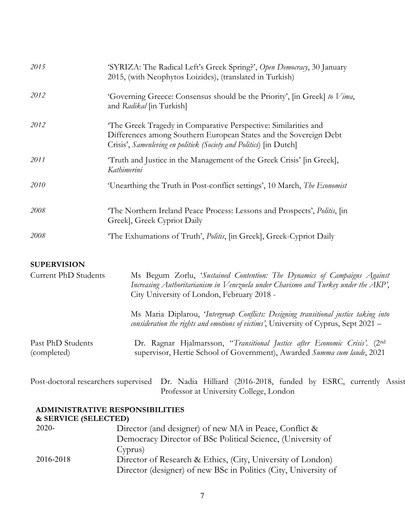| 2015        | 'SYRIZA: The Radical Left's Greek Spring?', Open Democracy, 30 January<br>2015, (with Neophytos Loizides), (translated in Turkish)                                                                        |
|-------------|-----------------------------------------------------------------------------------------------------------------------------------------------------------------------------------------------------------|
| 2012        | 'Governing Greece: Consensus should be the Priority', [in Greek] to Vima,<br>and Radikal [in Turkish]                                                                                                     |
| 2012        | The Greek Tragedy in Comparative Perspective: Similarities and<br>Differences among Southern European States and the Sovereign Debt<br>Crisis', Samenleving en politiek (Society and Politics) [in Dutch] |
| 2011        | 'Truth and Justice in the Management of the Greek Crisis' [in Greek],<br>Kathimerini                                                                                                                      |
| <i>2010</i> | 'Unearthing the Truth in Post-conflict settings', 10 March, The Economist                                                                                                                                 |
| 2008        | 'The Northern Ireland Peace Process: Lessons and Prospects', Politis, [in<br>Greek], Greek Cypriot Daily                                                                                                  |
| 2008        | The Exhumations of Truth', <i>Politis</i> , [in Greek], Greek-Cypriot Daily                                                                                                                               |

#### **SUPERVISION**

| <b>Current PhD Students</b>      | Ms Begum Zorlu, 'Sustained Contention: The Dynamics of Campaigns Against<br>Increasing Authoritarianism in Venezuela under Chavismo and Turkey under the AKP',<br>City University of London, February 2018 - |
|----------------------------------|--------------------------------------------------------------------------------------------------------------------------------------------------------------------------------------------------------------|
|                                  | Ms Maria Diplarou, 'Intergroup Conflicts: Designing transitional justice taking into<br>consideration the rights and emotions of victims', University of Cyprus, Sept 2021 -                                 |
| Past PhD Students<br>(completed) | Dr. Ragnar Hjalmarsson, "Transitional Justice after Economic Crisis'. (2nd<br>supervisor, Hertie School of Government), Awarded Summa cum laude, 2021                                                        |

Post-doctoral researchers supervised Dr. Nadia Hilliard (2016-2018, funded by ESRC, currently Assist Professor at University College, London

### **ADMINISTRATIVE RESPONSIBILITIES**

# **& SERVICE (SELECTED)**

| $2020 -$  | Director (and designer) of new MA in Peace, Conflict &          |
|-----------|-----------------------------------------------------------------|
|           | Democracy Director of BSc Political Science, (University of     |
|           | Cyprus)                                                         |
| 2016-2018 | Director of Research & Ethics, (City, University of London)     |
|           | Director (designer) of new BSc in Politics (City, University of |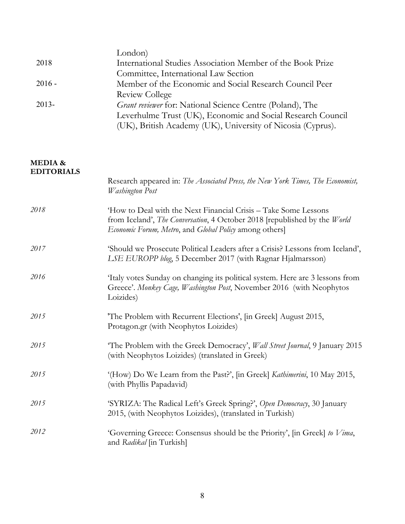|          | London)                                                     |
|----------|-------------------------------------------------------------|
| 2018     | International Studies Association Member of the Book Prize  |
|          | Committee, International Law Section                        |
| $2016 -$ | Member of the Economic and Social Research Council Peer     |
|          | Review College                                              |
| $2013-$  | Grant reviewer for: National Science Centre (Poland), The   |
|          | Leverhulme Trust (UK), Economic and Social Research Council |
|          | (UK), British Academy (UK), University of Nicosia (Cyprus). |
|          |                                                             |

#### **MEDIA & EDITORIALS**

|      | Research appeared in: The Associated Press, the New York Times, The Economist,<br>Washington Post                                                                                                                     |
|------|-----------------------------------------------------------------------------------------------------------------------------------------------------------------------------------------------------------------------|
| 2018 | 'How to Deal with the Next Financial Crisis – Take Some Lessons<br>from Iceland', <i>The Conversation</i> , 4 October 2018 [republished by the <i>World</i><br>Economic Forum, Metro, and Global Policy among others] |
| 2017 | 'Should we Prosecute Political Leaders after a Crisis? Lessons from Iceland',<br>LSE EUROPP blog, 5 December 2017 (with Ragnar Hjalmarsson)                                                                           |
| 2016 | Italy votes Sunday on changing its political system. Here are 3 lessons from<br>Greece'. Monkey Cage, Washington Post, November 2016 (with Neophytos<br>Loizides)                                                     |
| 2015 | 'The Problem with Recurrent Elections', [in Greek] August 2015,<br>Protagon.gr (with Neophytos Loizides)                                                                                                              |
| 2015 | The Problem with the Greek Democracy', <i>Wall Street Journal</i> , 9 January 2015<br>(with Neophytos Loizides) (translated in Greek)                                                                                 |
| 2015 | '(How) Do We Learn from the Past?', [in Greek] Kathimerini, 10 May 2015,<br>(with Phyllis Papadavid)                                                                                                                  |
| 2015 | 'SYRIZA: The Radical Left's Greek Spring?', Open Democracy, 30 January<br>2015, (with Neophytos Loizides), (translated in Turkish)                                                                                    |
| 2012 | 'Governing Greece: Consensus should be the Priority', [in Greek] to Vima,<br>and Radikal [in Turkish]                                                                                                                 |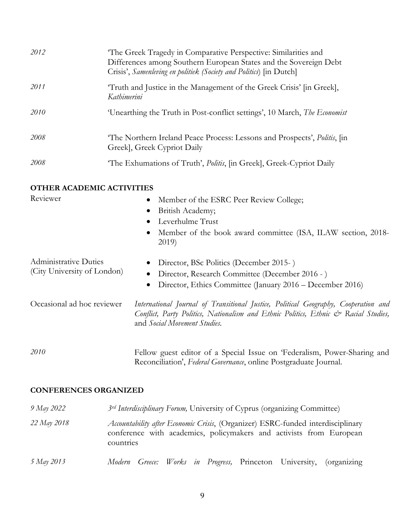| 2012 | The Greek Tragedy in Comparative Perspective: Similarities and<br>Differences among Southern European States and the Sovereign Debt<br>Crisis', Samenleving en politiek (Society and Politics) [in Dutch] |
|------|-----------------------------------------------------------------------------------------------------------------------------------------------------------------------------------------------------------|
| 2011 | Truth and Justice in the Management of the Greek Crisis' [in Greek],<br>Kathimerini                                                                                                                       |
| 2010 | 'Unearthing the Truth in Post-conflict settings', 10 March, The Economist                                                                                                                                 |
| 2008 | The Northern Ireland Peace Process: Lessons and Prospects', <i>Politis</i> , <i>fin</i><br>Greek], Greek Cypriot Daily                                                                                    |
| 2008 | The Exhumations of Truth', <i>Politis</i> , [in Greek], Greek-Cypriot Daily                                                                                                                               |

#### **OTHER ACADEMIC ACTIVITIES**

| Reviewer                                                    | Member of the ESRC Peer Review College;<br>$\bullet$<br>British Academy;<br>$\bullet$<br>Leverhulme Trust<br>$\bullet$<br>Member of the book award committee (ISA, ILAW section, 2018-<br>$\bullet$        |
|-------------------------------------------------------------|------------------------------------------------------------------------------------------------------------------------------------------------------------------------------------------------------------|
| <b>Administrative Duties</b><br>(City University of London) | 2019)<br>Director, BSc Politics (December 2015-)<br>$\bullet$<br>Director, Research Committee (December 2016 - )<br>$\bullet$<br>Director, Ethics Committee (January 2016 – December 2016)<br>$\bullet$    |
| Occasional ad hoc reviewer                                  | International Journal of Transitional Justice, Political Geography, Cooperation and<br>Conflict, Party Politics, Nationalism and Ethnic Politics, Ethnic & Racial Studies,<br>and Social Movement Studies. |
| <i>2010</i>                                                 | Fellow guest editor of a Special Issue on 'Federalism, Power-Sharing and                                                                                                                                   |

Reconciliation', *Federal Governance*, online Postgraduate Journal.

### **CONFERENCES ORGANIZED**

| 9 May 2022  | 3rd Interdisciplinary Forum, University of Cyprus (organizing Committee)                                                                                            |
|-------------|---------------------------------------------------------------------------------------------------------------------------------------------------------------------|
| 22 May 2018 | Accountability after Economic Crisis, (Organizer) ESRC-funded interdisciplinary<br>conference with academics, policymakers and activists from European<br>countries |
| 5 May 2013  | Modern Greece: Works in Progress, Princeton University,<br>(organizing                                                                                              |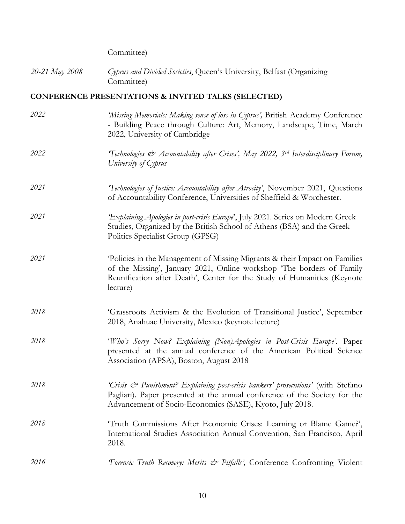Committee)

*20-21 May 2008 Cyprus and Divided Societies*, Queen's University, Belfast (Organizing Committee)

# **CONFERENCE PRESENTATIONS & INVITED TALKS (SELECTED)**

| 2022 | 'Missing Memorials: Making sense of loss in Cyprus', British Academy Conference<br>- Building Peace through Culture: Art, Memory, Landscape, Time, March<br>2022, University of Cambridge                                                  |
|------|--------------------------------------------------------------------------------------------------------------------------------------------------------------------------------------------------------------------------------------------|
| 2022 | Technologies & Accountability after Crises', May 2022, 3 <sup>rd</sup> Interdisciplinary Forum,<br>University of Cyprus                                                                                                                    |
| 2021 | Technologies of Justice: Accountability after Atrocity', November 2021, Questions<br>of Accountability Conference, Universities of Sheffield & Worchester.                                                                                 |
| 2021 | Explaining Apologies in post-crisis Europe', July 2021. Series on Modern Greek<br>Studies, Organized by the British School of Athens (BSA) and the Greek<br>Politics Specialist Group (GPSG)                                               |
| 2021 | 'Policies in the Management of Missing Migrants & their Impact on Families<br>of the Missing', January 2021, Online workshop 'The borders of Family<br>Reunification after Death', Center for the Study of Humanities (Keynote<br>lecture) |
| 2018 | 'Grassroots Activism & the Evolution of Transitional Justice', September<br>2018, Anahuac University, Mexico (keynote lecture)                                                                                                             |
| 2018 | 'Who's Sorry Now? Explaining (Non)Apologies in Post-Crisis Europe'. Paper<br>presented at the annual conference of the American Political Science<br>Association (APSA), Boston, August 2018                                               |
| 2018 | 'Crisis & Punishment? Explaining post-crisis bankers' prosecutions' (with Stefano<br>Pagliari). Paper presented at the annual conference of the Society for the<br>Advancement of Socio-Economics (SASE), Kyoto, July 2018.                |
| 2018 | 'Truth Commissions After Economic Crises: Learning or Blame Game?',<br>International Studies Association Annual Convention, San Francisco, April<br>2018.                                                                                  |
| 2016 | Forensic Truth Recovery: Merits & Pitfalls', Conference Confronting Violent                                                                                                                                                                |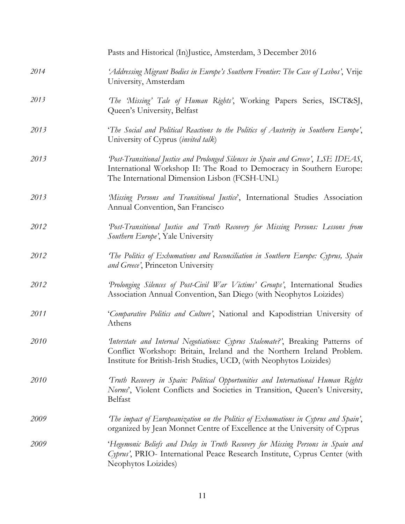|      | Pasts and Historical (In)Justice, Amsterdam, 3 December 2016                                                                                                                                                                   |
|------|--------------------------------------------------------------------------------------------------------------------------------------------------------------------------------------------------------------------------------|
| 2014 | 'Addressing Migrant Bodies in Europe's Southern Frontier: The Case of Lesbos', Vrije<br>University, Amsterdam                                                                                                                  |
| 2013 | The 'Missing' Tale of Human Rights', Working Papers Series, ISCT&SJ,<br>Queen's University, Belfast                                                                                                                            |
| 2013 | 'The Social and Political Reactions to the Politics of Austerity in Southern Europe',<br>University of Cyprus (invited talk)                                                                                                   |
| 2013 | Post-Transitional Justice and Prolonged Silences in Spain and Greece', LSE IDEAS,<br>International Workshop II: The Road to Democracy in Southern Europe:<br>The International Dimension Lisbon (FCSH-UNL)                     |
| 2013 | Missing Persons and Transitional Justice', International Studies Association<br>Annual Convention, San Francisco                                                                                                               |
| 2012 | Post-Transitional Justice and Truth Recovery for Missing Persons: Lessons from<br>Southern Europe', Yale University                                                                                                            |
| 2012 | The Politics of Exhumations and Reconciliation in Southern Europe: Cyprus, Spain<br>and Greece', Princeton University                                                                                                          |
| 2012 | Prolonging Silences of Post-Civil War Victims' Groups', International Studies<br>Association Annual Convention, San Diego (with Neophytos Loizides)                                                                            |
| 2011 | 'Comparative Politics and Culture', National and Kapodistrian University of<br>Athens                                                                                                                                          |
| 2010 | Interstate and Internal Negotiations: Cyprus Stalemate?', Breaking Patterns of<br>Conflict Workshop: Britain, Ireland and the Northern Ireland Problem.<br>Institute for British-Irish Studies, UCD, (with Neophytos Loizides) |
| 2010 | Truth Recovery in Spain: Political Opportunities and International Human Rights<br>Norms', Violent Conflicts and Societies in Transition, Queen's University,<br>Belfast                                                       |
| 2009 | The impact of Europeanization on the Politics of Exhumations in Cyprus and Spain',<br>organized by Jean Monnet Centre of Excellence at the University of Cyprus                                                                |
| 2009 | 'Hegemonic Beliefs and Delay in Truth Recovery for Missing Persons in Spain and<br>Cyprus', PRIO- International Peace Research Institute, Cyprus Center (with<br>Neophytos Loizides)                                           |